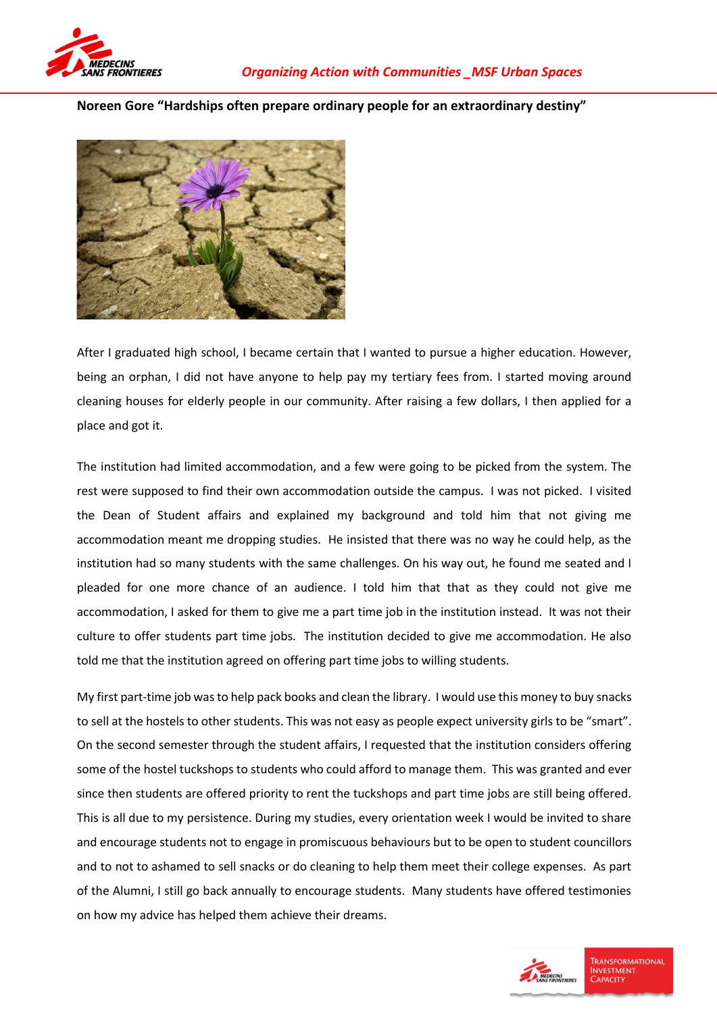

**Noreen Gore "Hardships often prepare ordinary people for an extraordinary destiny"**



After I graduated high school, I became certain that I wanted to pursue a higher education. However, being an orphan, I did not have anyone to help pay my tertiary fees from. I started moving around cleaning houses for elderly people in our community. After raising a few dollars, I then applied for a place and got it.

The institution had limited accommodation, and a few were going to be picked from the system. The rest were supposed to find their own accommodation outside the campus. I was not picked. I visited the Dean of Student affairs and explained my background and told him that not giving me accommodation meant me dropping studies. He insisted that there was no way he could help, as the institution had so many students with the same challenges. On his way out, he found me seated and I pleaded for one more chance of an audience. I told him that that as they could not give me accommodation, I asked for them to give me a part time job in the institution instead. It was not their culture to offer students part time jobs. The institution decided to give me accommodation. He also told me that the institution agreed on offering part time jobs to willing students.

My first part-time job was to help pack books and clean the library. I would use this money to buy snacks to sell at the hostels to other students. This was not easy as people expect university girls to be "smart". On the second semester through the student affairs, I requested that the institution considers offering some of the hostel tuckshops to students who could afford to manage them. This was granted and ever since then students are offered priority to rent the tuckshops and part time jobs are still being offered. This is all due to my persistence. During my studies, every orientation week I would be invited to share and encourage students not to engage in promiscuous behaviours but to be open to student councillors and to not to ashamed to sell snacks or do cleaning to help them meet their college expenses. As part of the Alumni, I still go back annually to encourage students. Many students have offered testimonies on how my advice has helped them achieve their dreams.